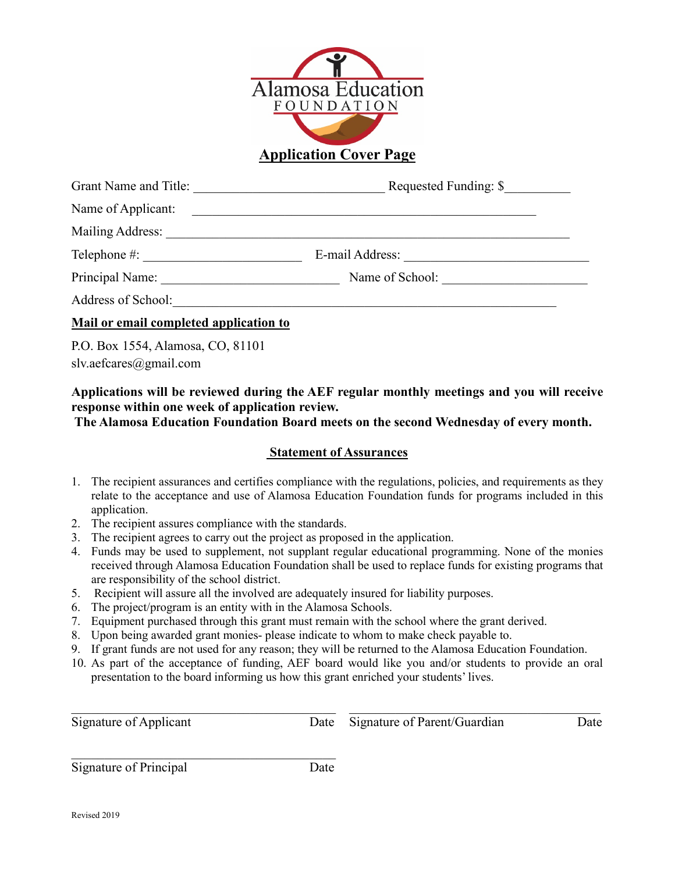

**Application Cover Page**

| Grant Name and Title:                  | Requested Funding: \$ |  |  |
|----------------------------------------|-----------------------|--|--|
| Name of Applicant:                     |                       |  |  |
| Mailing Address:                       |                       |  |  |
| $\text{Telephone} \#:$                 | E-mail Address:       |  |  |
|                                        | Name of School:       |  |  |
| Address of School:                     |                       |  |  |
| Mail or email completed application to |                       |  |  |

P.O. Box 1554, Alamosa, CO, 81101 slv.aefcares@gmail.com

## **Applications will be reviewed during the AEF regular monthly meetings and you will receive response within one week of application review.**

**The Alamosa Education Foundation Board meets on the second Wednesday of every month.**

## **Statement of Assurances**

- 1. The recipient assurances and certifies compliance with the regulations, policies, and requirements as they relate to the acceptance and use of Alamosa Education Foundation funds for programs included in this application.
- 2. The recipient assures compliance with the standards.
- 3. The recipient agrees to carry out the project as proposed in the application.
- 4. Funds may be used to supplement, not supplant regular educational programming. None of the monies received through Alamosa Education Foundation shall be used to replace funds for existing programs that are responsibility of the school district.
- 5. Recipient will assure all the involved are adequately insured for liability purposes.
- 6. The project/program is an entity with in the Alamosa Schools.
- 7. Equipment purchased through this grant must remain with the school where the grant derived.
- 8. Upon being awarded grant monies- please indicate to whom to make check payable to.
- 9. If grant funds are not used for any reason; they will be returned to the Alamosa Education Foundation.
- 10. As part of the acceptance of funding, AEF board would like you and/or students to provide an oral presentation to the board informing us how this grant enriched your students' lives.

| Signature of Applicant |      | Date Signature of Parent/Guardian | Date |
|------------------------|------|-----------------------------------|------|
| Signature of Principal | Date |                                   |      |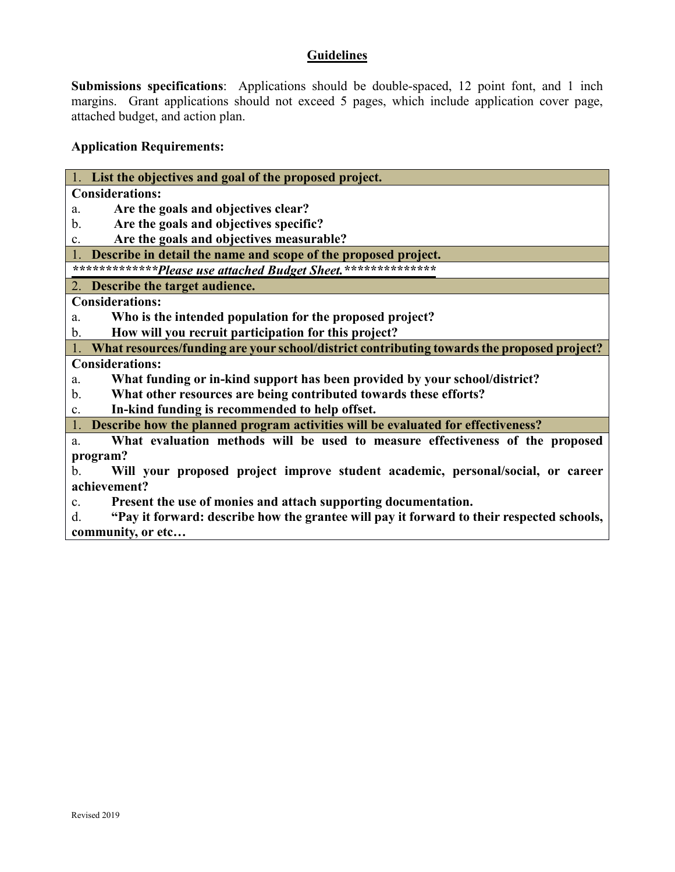## **Guidelines**

**Submissions specifications**: Applications should be double-spaced, 12 point font, and 1 inch margins. Grant applications should not exceed 5 pages, which include application cover page, attached budget, and action plan.

# **Application Requirements:**

| List the objectives and goal of the proposed project.                                            |  |  |
|--------------------------------------------------------------------------------------------------|--|--|
| <b>Considerations:</b>                                                                           |  |  |
| Are the goals and objectives clear?<br>a.                                                        |  |  |
| Are the goals and objectives specific?<br>$\mathbf{b}$ .                                         |  |  |
| Are the goals and objectives measurable?<br>c.                                                   |  |  |
| Describe in detail the name and scope of the proposed project.                                   |  |  |
| *************Please use attached Budget Sheet.***************                                    |  |  |
| 2. Describe the target audience.                                                                 |  |  |
| <b>Considerations:</b>                                                                           |  |  |
| Who is the intended population for the proposed project?<br>a.                                   |  |  |
| How will you recruit participation for this project?<br>$\mathbf{b}$ .                           |  |  |
| What resources/funding are your school/district contributing towards the proposed project?       |  |  |
| <b>Considerations:</b>                                                                           |  |  |
| What funding or in-kind support has been provided by your school/district?<br>a.                 |  |  |
| What other resources are being contributed towards these efforts?<br>b.                          |  |  |
| In-kind funding is recommended to help offset.<br>c.                                             |  |  |
| Describe how the planned program activities will be evaluated for effectiveness?                 |  |  |
| What evaluation methods will be used to measure effectiveness of the proposed<br>a.              |  |  |
| program?                                                                                         |  |  |
| $\mathbf b$ .<br>Will your proposed project improve student academic, personal/social, or career |  |  |
| achievement?                                                                                     |  |  |
| Present the use of monies and attach supporting documentation.<br>C <sub>1</sub>                 |  |  |
| "Pay it forward: describe how the grantee will pay it forward to their respected schools,<br>d.  |  |  |
| community, or etc                                                                                |  |  |